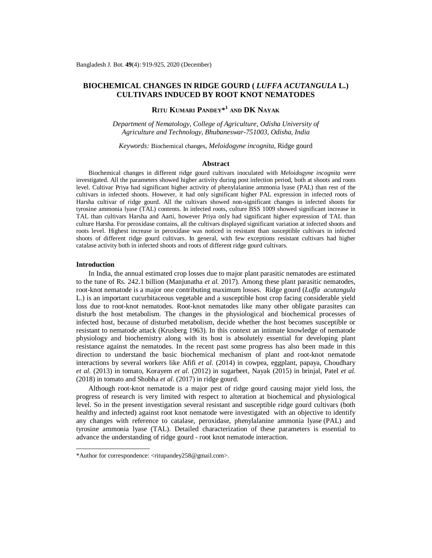# **BIOCHEMICAL CHANGES IN RIDGE GOURD (** *LUFFA ACUTANGULA* **L.) CULTIVARS INDUCED BY ROOT KNOT NEMATODES**

# **RITU KUMARI PANDEY\* 1 AND DK NAYAK**

*Department of Nematology, College of Agriculture, Odisha University of Agriculture and Technology, Bhubaneswar-751003, Odisha, India*

*Keywords:* Biochemical changes, *Meloidogyne incognita*, Ridge gourd

# **Abstract**

Biochemical changes in different ridge gourd cultivars inoculated with *Meloidogyne incognita* were investigated. All the parameters showed higher activity during post infection period, both at shoots and roots level. Cultivar Priya had significant higher activity of phenylalanine ammonia lyase (PAL) than rest of the cultivars in infected shoots. However, it had only significant higher PAL expression in infected roots of Harsha cultivar of ridge gourd. All the cultivars showed non-significant changes in infected shoots for tyrosine ammonia lyase (TAL) contents. In infected roots, culture BSS 1009 showed significant increase in TAL than cultivars Harsha and Aarti, however Priya only had significant higher expression of TAL than culture Harsha. For peroxidase contains, all the cultivars displayed significant variation at infected shoots and roots level. Highest increase in peroxidase was noticed in resistant than susceptible cultivars in infected shoots of different ridge gourd cultivars. In general, with few exceptions resistant cultivars had higher catalase activity both in infected shoots and roots of different ridge gourd cultivars.

#### **Introduction**

In India, the annual estimated crop losses due to major plant parasitic nematodes are estimated to the tune of Rs. 242.1 billion (Manjunatha *et al.* 2017). Among these plant parasitic nematodes, root-knot nematode is a major one contributing maximum losses. Ridge gourd (*Luffa acutangula* L.) is an important cucurbitaceous vegetable and a susceptible host crop facing considerable yield loss due to root-knot nematodes. Root-knot nematodes like many other obligate parasites can disturb the host metabolism. The changes in the physiological and biochemical processes of infected host, because of disturbed metabolism, decide whether the host becomes susceptible or resistant to nematode attack (Krusberg 1963). In this context an intimate knowledge of nematode physiology and biochemistry along with its host is absolutely essential for developing plant resistance against the nematodes. In the recent past some progress has also been made in this direction to understand the basic biochemical mechanism of plant and root-knot nematode interactions by several workers like Afifi *et al.* (2014) in cowpea, eggplant, papaya, Choudhary *et al.* (2013) in tomato, Korayem *et al.* (2012) in sugarbeet, Nayak (2015) in brinjal, Patel *et al.* (2018) in tomato and Shobha *et al.* (2017) in ridge gourd.

Although root-knot nematode is a major pest of ridge gourd causing major yield loss, the progress of research is very limited with respect to alteration at biochemical and physiological level. So in the present investigation several resistant and susceptible ridge gourd cultivars (both healthy and infected) against root knot nematode were investigated with an objective to identify any changes with reference to catalase, peroxidase, phenylalanine ammonia lyase (PAL) and tyrosine ammonia lyase (TAL). Detailed characterization of these parameters is essential to advance the understanding of ridge gourd - root knot nematode interaction.

<sup>\*</sup>Author for correspondence: [<ritupandey258@gmail.com>](mailto:ritupandey258@gmail.com).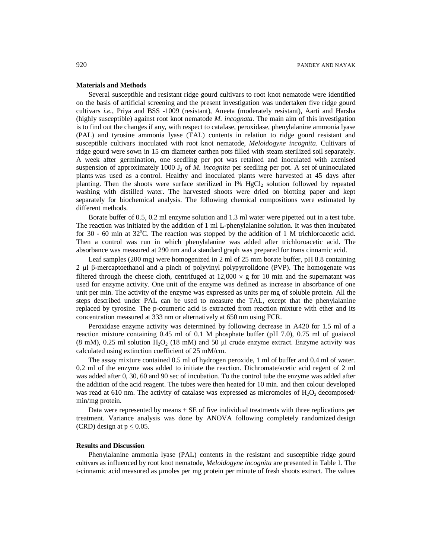# **Materials and Methods**

Several susceptible and resistant ridge gourd cultivars to root knot nematode were identified on the basis of artificial screening and the present investigation was undertaken five ridge gourd cultivars *i.e.*, Priya and BSS -1009 (resistant), Aneeta (moderately resistant), Aarti and Harsha (highly susceptible) against root knot nematode *M. incognata*. The main aim of this investigation is to find out the changes if any, with respect to catalase, peroxidase, phenylalanine ammonia lyase (PAL) and tyrosine ammonia lyase (TAL) contents in relation to ridge gourd resistant and susceptible cultivars inoculated with root knot nematode*, Meloidogyne incognita.* Cultivars of ridge gourd were sown in 15 cm diameter earthen pots filled with steam sterilized soil separately. A week after germination, one seedling per pot was retained and inoculated with axenised suspension of approximately 1000  $J_2$  of *M. incognita* per seedling per pot. A set of uninoculated plants was used as a control. Healthy and inoculated plants were harvested at 45 days after planting. Then the shoots were surface sterilized in  $1\%$  HgCl<sub>2</sub> solution followed by repeated washing with distilled water. The harvested shoots were dried on blotting paper and kept separately for biochemical analysis. The following chemical compositions were estimated by different methods.

Borate buffer of 0.5, 0.2 ml enzyme solution and 1.3 ml water were pipetted out in a test tube. The reaction was initiated by the addition of 1 ml L-phenylalanine solution. It was then incubated for 30 - 60 min at  $32^{\circ}$ C. The reaction was stopped by the addition of 1 M trichloroacetic acid. Then a control was run in which phenylalanine was added after trichloroacetic acid. The absorbance was measured at 290 nm and a standard graph was prepared for trans cinnamic acid.

Leaf samples (200 mg) were homogenized in 2 ml of 25 mm borate buffer, pH 8.8 containing 2 µl β-mercaptoethanol and a pinch of polyvinyl polypyrrolidone (PVP). The homogenate was filtered through the cheese cloth, centrifuged at  $12,000 \times g$  for 10 min and the supernatant was used for enzyme activity. One unit of the enzyme was defined as increase in absorbance of one unit per min. The activity of the enzyme was expressed as units per mg of soluble protein. All the steps described under PAL can be used to measure the TAL, except that the phenylalanine replaced by tyrosine. The p-coumeric acid is extracted from reaction mixture with ether and its concentration measured at 333 nm or alternatively at 650 nm using FCR.

Peroxidase enzyme activity was determined by following decrease in A420 for 1.5 ml of a reaction mixture containing 0.45 ml of 0.1 M phosphate buffer (pH 7.0), 0.75 ml of guaiacol (8 mM), 0.25 ml solution  $H_2O_2$  (18 mM) and 50 µl crude enzyme extract. Enzyme activity was calculated using extinction coefficient of 25 mM/cm.

The assay mixture contained 0.5 ml of hydrogen peroxide, 1 ml of buffer and 0.4 ml of water. 0.2 ml of the enzyme was added to initiate the reaction. Dichromate/acetic acid regent of 2 ml was added after 0, 30, 60 and 90 sec of incubation. To the control tube the enzyme was added after the addition of the acid reagent. The tubes were then heated for 10 min. and then colour developed was read at 610 nm. The activity of catalase was expressed as micromoles of  $H_2O_2$  decomposed/ min/mg protein.

Data were represented by means  $\pm$  SE of five individual treatments with three replications per treatment. Variance analysis was done by ANOVA following completely randomized design (CRD) design at  $p \le 0.05$ .

### **Results and Discussion**

Phenylalanine ammonia lyase (PAL) contents in the resistant and susceptible ridge gourd cultivars as influenced by root knot nematode, *Meloidogyne incognita* are presented in Table 1. The t-cinnamic acid measured as µmoles per mg protein per minute of fresh shoots extract. The values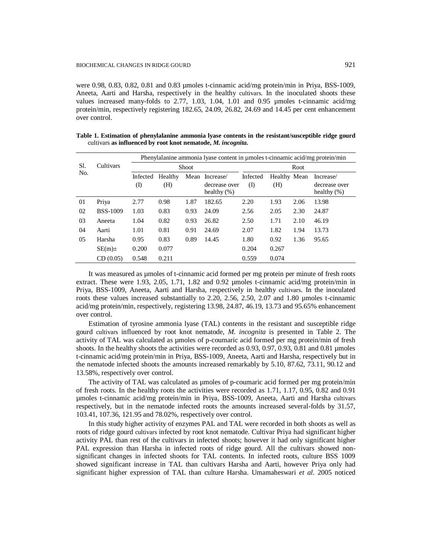were 0.98, 0.83, 0.82, 0.81 and 0.83 µmoles t-cinnamic acid/mg protein/min in Priya, BSS-1009, Aneeta, Aarti and Harsha, respectively in the healthy cultivars. In the inoculated shoots these values increased many-folds to 2.77, 1.03, 1.04, 1.01 and 0.95 µmoles t-cinnamic acid/mg protein/min, respectively registering 182.65, 24.09, 26.82, 24.69 and 14.45 per cent enhancement over control.

|            |                 | Phenylalanine ammonia lyase content in umoles t-cinnamic acid/mg protein/min |              |      |                                 |          |              |      |                                 |  |  |
|------------|-----------------|------------------------------------------------------------------------------|--------------|------|---------------------------------|----------|--------------|------|---------------------------------|--|--|
| Sl.<br>No. | Cultivars       |                                                                              | <b>Shoot</b> |      | Root                            |          |              |      |                                 |  |  |
|            |                 | Infected                                                                     | Healthy      |      | Mean Increase/                  | Infected | Healthy Mean |      | Increase/                       |  |  |
|            |                 | $\rm(D)$                                                                     | (H)          |      | decrease over<br>healthy $(\%)$ | $\rm(D)$ | (H)          |      | decrease over<br>healthy $(\%)$ |  |  |
| 01         | Priya           | 2.77                                                                         | 0.98         | 1.87 | 182.65                          | 2.20     | 1.93         | 2.06 | 13.98                           |  |  |
| 02         | <b>BSS-1009</b> | 1.03                                                                         | 0.83         | 0.93 | 24.09                           | 2.56     | 2.05         | 2.30 | 24.87                           |  |  |
| 03         | Aneeta          | 1.04                                                                         | 0.82         | 0.93 | 26.82                           | 2.50     | 1.71         | 2.10 | 46.19                           |  |  |
| 04         | Aarti           | 1.01                                                                         | 0.81         | 0.91 | 24.69                           | 2.07     | 1.82         | 1.94 | 13.73                           |  |  |
| 05         | Harsha          | 0.95                                                                         | 0.83         | 0.89 | 14.45                           | 1.80     | 0.92         | 1.36 | 95.65                           |  |  |
|            | $SE(m)$ ±       | 0.200                                                                        | 0.077        |      |                                 | 0.204    | 0.267        |      |                                 |  |  |
|            | CD(0.05)        | 0.548                                                                        | 0.211        |      |                                 | 0.559    | 0.074        |      |                                 |  |  |

**Table 1. Estimation of phenylalanine ammonia lyase contents in the resistant/susceptible ridge gourd**  cultivars **as influenced by root knot nematode,** *M. incognita.*

It was measured as µmoles of t-cinnamic acid formed per mg protein per minute of fresh roots extract. These were 1.93, 2.05, 1.71, 1.82 and 0.92 µmoles t-cinnamic acid/mg protein/min in Priya, BSS-1009, Aneeta, Aarti and Harsha, respectively in healthy cultivars. In the inoculated roots these values increased substantially to 2.20, 2.56, 2.50, 2.07 and 1.80 µmoles t-cinnamic acid/mg protein/min, respectively, registering 13.98, 24.87, 46.19, 13.73 and 95.65% enhancement over control.

Estimation of tyrosine ammonia lyase (TAL) contents in the resistant and susceptible ridge gourd cultivars influenced by root knot nematode, *M. incognita* is presented in Table 2. The activity of TAL was calculated as µmoles of p-coumaric acid formed per mg protein/min of fresh shoots. In the healthy shoots the activities were recorded as 0.93, 0.97, 0.93, 0.81 and 0.81 µmoles t-cinnamic acid/mg protein/min in Priya, BSS-1009, Aneeta, Aarti and Harsha, respectively but in the nematode infected shoots the amounts increased remarkably by 5.10, 87.62, 73.11, 90.12 and 13.58%, respectively over control.

The activity of TAL was calculated as umoles of p-coumaric acid formed per mg protein/min of fresh roots. In the healthy roots the activities were recorded as 1.71, 1.17, 0.95, 0.82 and 0.91 µmoles t-cinnamic acid/mg protein/min in Priya, BSS-1009, Aneeta, Aarti and Harsha cultivars respectively, but in the nematode infected roots the amounts increased several-folds by 31.57, 103.41, 107.36, 121.95 and 78.02%, respectively over control.

In this study higher activity of enzymes PAL and TAL were recorded in both shoots as well as roots of ridge gourd cultivars infected by root knot nematode. Cultivar Priya had significant higher activity PAL than rest of the cultivars in infected shoots; however it had only significant higher PAL expression than Harsha in infected roots of ridge gourd. All the cultivars showed nonsignificant changes in infected shoots for TAL contents. In infected roots, culture BSS 1009 showed significant increase in TAL than cultivars Harsha and Aarti, however Priya only had significant higher expression of TAL than culture Harsha. Umamaheswari *et al*. 2005 noticed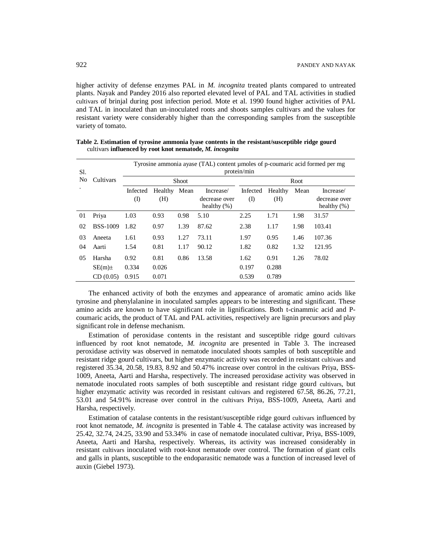higher activity of defense enzymes PAL in *M. incognita* treated plants compared to untreated plants. Nayak and Pandey 2016 also reported elevated level of PAL and TAL activities in studied cultivars of brinjal during post infection period. Mote et al. 1990 found higher activities of PAL and TAL in inoculated than un-inoculated roots and shoots samples cultivars and the values for resistant variety were considerably higher than the corresponding samples from the susceptible variety of tomato.

| Sl.            | Cultivars       | Tyrosine ammonia ayase (TAL) content umoles of p-coumaric acid formed per mg<br>protein/min |                |      |                                              |                 |                |      |                                              |  |
|----------------|-----------------|---------------------------------------------------------------------------------------------|----------------|------|----------------------------------------------|-----------------|----------------|------|----------------------------------------------|--|
| N <sub>o</sub> |                 |                                                                                             | <b>Shoot</b>   |      | Root                                         |                 |                |      |                                              |  |
|                |                 | Infected<br>(I)                                                                             | Healthy<br>(H) | Mean | Increase/<br>decrease over<br>healthy $(\%)$ | Infected<br>(I) | Healthy<br>(H) | Mean | Increase/<br>decrease over<br>healthy $(\%)$ |  |
| 01             | Priya           | 1.03                                                                                        | 0.93           | 0.98 | 5.10                                         | 2.25            | 1.71           | 1.98 | 31.57                                        |  |
| 02             | <b>BSS-1009</b> | 1.82                                                                                        | 0.97           | 1.39 | 87.62                                        | 2.38            | 1.17           | 1.98 | 103.41                                       |  |
| 03             | Aneeta          | 1.61                                                                                        | 0.93           | 1.27 | 73.11                                        | 1.97            | 0.95           | 1.46 | 107.36                                       |  |
| 04             | Aarti           | 1.54                                                                                        | 0.81           | 1.17 | 90.12                                        | 1.82            | 0.82           | 1.32 | 121.95                                       |  |
| 05             | Harsha          | 0.92                                                                                        | 0.81           | 0.86 | 13.58                                        | 1.62            | 0.91           | 1.26 | 78.02                                        |  |
|                | $SE(m)$ ±       | 0.334                                                                                       | 0.026          |      |                                              | 0.197           | 0.288          |      |                                              |  |
|                | CD(0.05)        | 0.915                                                                                       | 0.071          |      |                                              | 0.539           | 0.789          |      |                                              |  |

|  |                                                          |  |  | Table 2. Estimation of tyrosine ammonia lyase contents in the resistant/susceptible ridge gourd |  |  |
|--|----------------------------------------------------------|--|--|-------------------------------------------------------------------------------------------------|--|--|
|  | cultivars influenced by root knot nematode, M. incognita |  |  |                                                                                                 |  |  |

The enhanced activity of both the enzymes and appearance of aromatic amino acids like tyrosine and phenylalanine in inoculated samples appears to be interesting and significant. These amino acids are known to have significant role in lignifications. Both t-cinammic acid and Pcoumaric acids, the product of TAL and PAL activities, respectively are lignin precursors and play significant role in defense mechanism.

Estimation of peroxidase contents in the resistant and susceptible ridge gourd cultivars influenced by root knot nematode, *M. incognita* are presented in Table 3. The increased peroxidase activity was observed in nematode inoculated shoots samples of both susceptible and resistant ridge gourd cultivars, but higher enzymatic activity was recorded in resistant cultivars and registered 35.34, 20.58, 19.83, 8.92 and 50.47% increase over control in the cultivars Priya, BSS-1009, Aneeta, Aarti and Harsha, respectively. The increased peroxidase activity was observed in nematode inoculated roots samples of both susceptible and resistant ridge gourd cultivars, but higher enzymatic activity was recorded in resistant cultivars and registered 67.58, 86.26, 77.21, 53.01 and 54.91% increase over control in the cultivars Priya, BSS-1009, Aneeta, Aarti and Harsha, respectively.

Estimation of catalase contents in the resistant/susceptible ridge gourd cultivars influenced by root knot nematode, *M. incognita* is presented in Table 4. The catalase activity was increased by 25.42, 32.74, 24.25, 33.90 and 53.34% in case of nematode inoculated cultivar, Priya, BSS-1009, Aneeta, Aarti and Harsha, respectively. Whereas, its activity was increased considerably in resistant cultivars inoculated with root-knot nematode over control. The formation of giant cells and galls in plants, susceptible to the endoparasitic nematode was a function of increased level of auxin (Giebel 1973).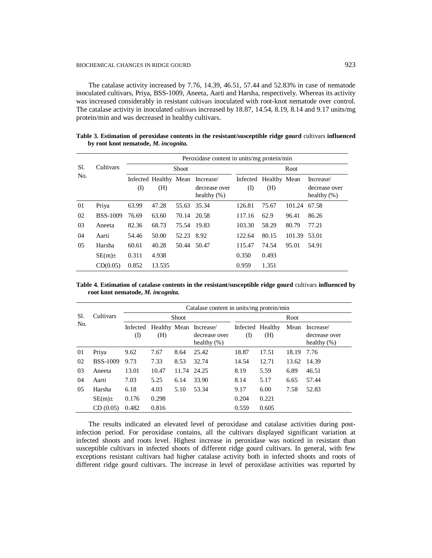The catalase activity increased by 7.76, 14.39, 46.51, 57.44 and 52.83% in case of nematode inoculated cultivars, Priya, BSS-1009, Aneeta, Aarti and Harsha, respectively. Whereas its activity was increased considerably in resistant cultivars inoculated with root-knot nematode over control. The catalase activity in inoculated cultivars increased by 18.87, 14.54, 8.19, 8.14 and 9.17 units/mg protein/min and was decreased in healthy cultivars.

|            | Cultivars       | Peroxidase content in units/mg protein/min |                              |              |                                              |           |                              |        |                                              |  |  |
|------------|-----------------|--------------------------------------------|------------------------------|--------------|----------------------------------------------|-----------|------------------------------|--------|----------------------------------------------|--|--|
| Sl.<br>No. |                 |                                            |                              | <b>Shoot</b> |                                              | Root      |                              |        |                                              |  |  |
|            |                 | $\rm (I)$                                  | Infected Healthy Mean<br>(H) |              | Increase/<br>decrease over<br>healthy $(\%)$ | $\rm (I)$ | Infected Healthy Mean<br>(H) |        | Increase/<br>decrease over<br>healthy $(\%)$ |  |  |
| 01         | Priya           | 63.99                                      | 47.28                        |              | 55.63 35.34                                  | 126.81    | 75.67                        | 101.24 | 67.58                                        |  |  |
| 02         | <b>BSS-1009</b> | 76.69                                      | 63.60                        | 70.14        | 20.58                                        | 117.16    | 62.9                         | 96.41  | 86.26                                        |  |  |
| 03         | Aneeta          | 82.36                                      | 68.73                        | 75.54        | 19.83                                        | 103.30    | 58.29                        | 80.79  | 77.21                                        |  |  |
| 04         | Aarti           | 54.46                                      | 50.00                        | 52.23 8.92   |                                              | 122.64    | 80.15                        | 101.39 | 53.01                                        |  |  |
| 05         | Harsha          | 60.61                                      | 40.28                        | 50.44 50.47  |                                              | 115.47    | 74.54                        | 95.01  | 54.91                                        |  |  |
|            | $SE(m)$ ±       | 0.311                                      | 4.938                        |              |                                              | 0.350     | 0.493                        |        |                                              |  |  |
|            | CD(0.05)        | 0.852                                      | 13.535                       |              |                                              | 0.959     | 1.351                        |        |                                              |  |  |

**Table 3. Estimation of peroxidase contents in the resistant/susceptible ridge gourd** cultivars **influenced by root knot nematode,** *M. incognita.*

**Table 4. Estimation of catalase contents in the resistant/susceptible ridge gourd** cultivars **influenced by root knot nematode,** *M. incognita.*

|            |                 | Catalase content in units/mg protein/min |       |              |                                                           |          |                         |       |                                              |  |  |
|------------|-----------------|------------------------------------------|-------|--------------|-----------------------------------------------------------|----------|-------------------------|-------|----------------------------------------------|--|--|
| Sl.<br>No. | Cultivars       |                                          |       | <b>Shoot</b> |                                                           | Root     |                         |       |                                              |  |  |
|            |                 | Infected<br>(I)                          | (H)   |              | Healthy Mean Increase/<br>decrease over<br>healthy $(\%)$ | $\rm(D)$ | Infected Healthy<br>(H) | Mean  | Increase/<br>decrease over<br>healthy $(\%)$ |  |  |
| 01         | Priya           | 9.62                                     | 7.67  | 8.64         | 25.42                                                     | 18.87    | 17.51                   | 18.19 | 7.76                                         |  |  |
| 02         | <b>BSS-1009</b> | 9.73                                     | 7.33  | 8.53         | 32.74                                                     | 14.54    | 12.71                   | 13.62 | 14.39                                        |  |  |
| 03         | Aneeta          | 13.01                                    | 10.47 | 11.74        | 24.25                                                     | 8.19     | 5.59                    | 6.89  | 46.51                                        |  |  |
| 04         | Aarti           | 7.03                                     | 5.25  | 6.14         | 33.90                                                     | 8.14     | 5.17                    | 6.65  | 57.44                                        |  |  |
| 05         | Harsha          | 6.18                                     | 4.03  | 5.10         | 53.34                                                     | 9.17     | 6.00                    | 7.58  | 52.83                                        |  |  |
|            | $SE(m)$ ±       | 0.176                                    | 0.298 |              |                                                           | 0.204    | 0.221                   |       |                                              |  |  |
|            | CD(0.05)        | 0.482                                    | 0.816 |              |                                                           | 0.559    | 0.605                   |       |                                              |  |  |

The results indicated an elevated level of peroxidase and catalase activities during postinfection period. For peroxidase contains, all the cultivars displayed significant variation at infected shoots and roots level. Highest increase in peroxidase was noticed in resistant than susceptible cultivars in infected shoots of different ridge gourd cultivars. In general, with few exceptions resistant cultivars had higher catalase activity both in infected shoots and roots of different ridge gourd cultivars. The increase in level of peroxidase activities was reported by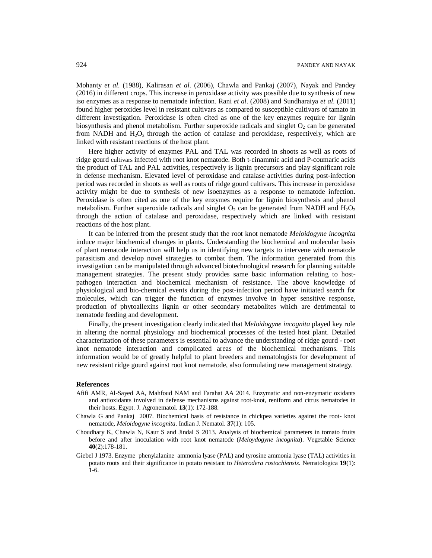Mohanty *et al*. (1988), Kalirasan *et al*. (2006), Chawla and Pankaj (2007), Nayak and Pandey (2016) in different crops. This increase in peroxidase activity was possible due to synthesis of new iso enzymes as a response to nematode infection. Rani *et al*. (2008) and Sundharaiya *et al*. (2011) found higher peroxides level in resistant cultivars as compared to susceptible cultivars of tamato in different investigation. Peroxidase is often cited as one of the key enzymes require for lignin biosynthesis and phenol metabolism. Further superoxide radicals and singlet  $O<sub>2</sub>$  can be generated from NADH and  $H_2O_2$  through the action of catalase and peroxidase, respectively, which are linked with resistant reactions of the host plant.

Here higher activity of enzymes PAL and TAL was recorded in shoots as well as roots of ridge gourd cultivars infected with root knot nematode. Both t-cinammic acid and P-coumaric acids the product of TAL and PAL activities, respectively is lignin precursors and play significant role in defense mechanism. Elevated level of peroxidase and catalase activities during post-infection period was recorded in shoots as well as roots of ridge gourd cultivars. This increase in peroxidase activity might be due to synthesis of new isoenzymes as a response to nematode infection. Peroxidase is often cited as one of the key enzymes require for lignin biosynthesis and phenol metabolism. Further superoxide radicals and singlet  $O_2$  can be generated from NADH and H<sub>2</sub>O<sub>2</sub> through the action of catalase and peroxidase, respectively which are linked with resistant reactions of the host plant.

It can be inferred from the present study that the root knot nematode *Meloidogyne incognita*  induce major biochemical changes in plants. Understanding the biochemical and molecular basis of plant nematode interaction will help us in identifying new targets to intervene with nematode parasitism and develop novel strategies to combat them. The information generated from this investigation can be manipulated through advanced biotechnological research for planning suitable management strategies. The present study provides same basic information relating to hostpathogen interaction and biochemical mechanism of resistance. The above knowledge of physiological and bio-chemical events during the post-infection period have initiated search for molecules, which can trigger the function of enzymes involve in hyper sensitive response, production of phytoallexins lignin or other secondary metabolites which are detrimental to nematode feeding and development.

Finally, the present investigation clearly indicated that M*eloidogyne incognita* played key role in altering the normal physiology and biochemical processes of the tested host plant. Detailed characterization of these parameters is essential to advance the understanding of ridge gourd - root knot nematode interaction and complicated areas of the biochemical mechanisms. This information would be of greatly helpful to plant breeders and nematologists for development of new resistant ridge gourd against root knot nematode, also formulating new management strategy.

#### **References**

- Afifi AMR, Al-Sayed AA, Mahfoud NAM and Farahat AA 2014. Enzymatic and non-enzymatic oxidants and antioxidants involved in defense mechanisms against root-knot, reniform and citrus nematodes in their hosts. Egypt. J. Agronematol. **13**(1): 172-188.
- Chawla G and Pankaj 2007. Biochemical basis of resistance in chickpea varieties against the root- knot nematode, *Meloidogyne incognita*. Indian J. Nematol. **37**(1): 105.
- Choudhary K, Chawla N, Kaur S and Jindal S 2013. Analysis of biochemical parameters in tomato fruits before and after inoculation with root knot nematode (*Meloydogyne incognita*). Vegetable Science **40**(2):178-181.
- Giebel J 1973. Enzyme phenylalanine ammonia lyase (PAL) and tyrosine ammonia lyase (TAL) activities in potato roots and their significance in potato resistant to *Heterodera rostochiensis*. Nematologica **19**(1): 1-6.